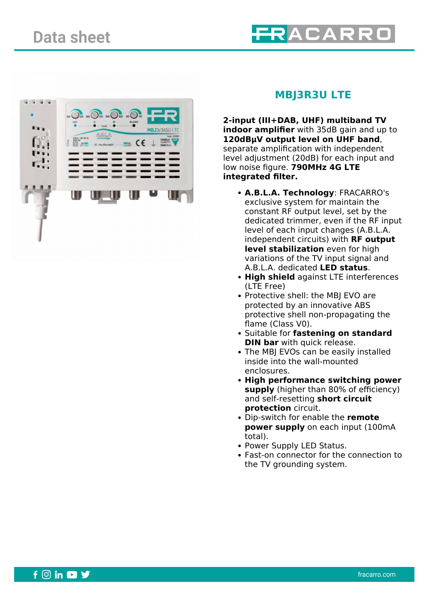



## **MBJ3R3U LTE**

**2-input (III+DAB, UHF) multiband TV indoor amplifier** with 35dB gain and up to **120dBμV output level on UHF band**, separate amplification with independent level adjustment (20dB) for each input and low noise figure. **790MHz 4G LTE integrated filter.**

- **A.B.L.A. Technology**: FRACARRO's exclusive system for maintain the constant RF output level, set by the dedicated trimmer, even if the RF input level of each input changes (A.B.L.A. independent circuits) with **RF output level stabilization** even for high variations of the TV input signal and A.B.L.A. dedicated **LED status**.
- **High shield** against LTE interferences (LTE Free)
- Protective shell: the MBJ EVO are protected by an innovative ABS protective shell non-propagating the flame (Class V0).
- Suitable for **fastening on standard DIN bar** with quick release.
- The MBI EVOs can be easily installed inside into the wall-mounted enclosures.
- **High performance switching power supply** (higher than 80% of efficiency) and self-resetting **short circuit protection** circuit.
- Dip-switch for enable the **remote power supply** on each input (100mA total).
- Power Supply LED Status.
- Fast-on connector for the connection to the TV grounding system.